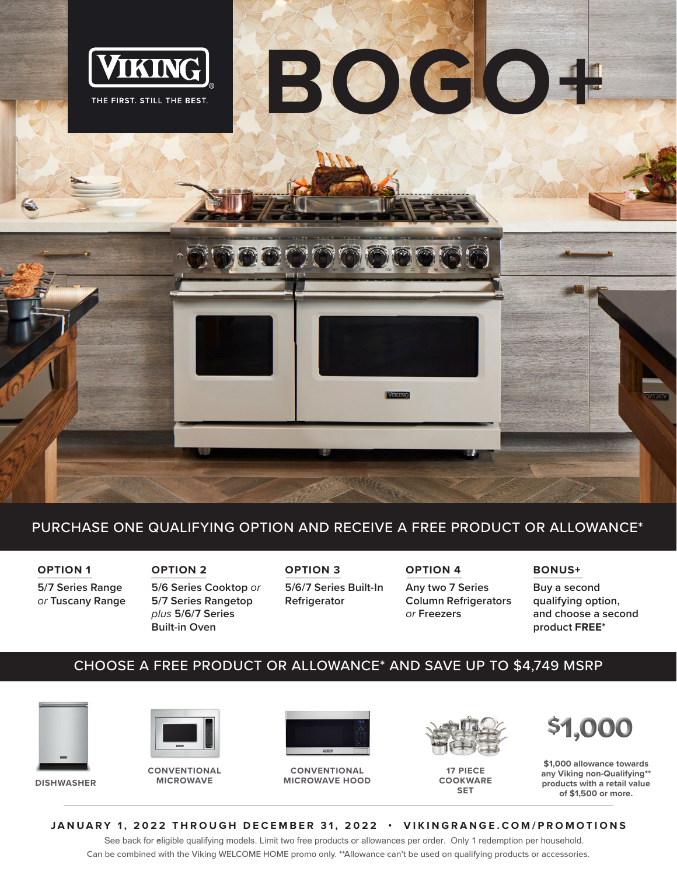

## PURCHASE ONE QUALIFYING OPTION AND RECEIVE A FREE PRODUCT OR ALLOWANCE\*

**OPTION 1 5/7 Series Range**  *or* **Tuscany Range** 

**OPTION 2 5/6 Series Cooktop** *or* **5/7 Series Rangetop**  *plus* **5/6/7 Series Built-in Oven** 

**OPTION 3 5/6/7 Series Built-In Refrigerator** 

**OPTION 4 Any two 7 Series Column Refrigerators** 

*or* **Freezers**

### **BONUS+**

**Buy a second qualifying option, and choose a second product FREE\*** 

## CHOOSE A FREE PRODUCT OR ALLOWANCE\* AND SAVE UP TO \$4,749 MSRP



**DISHWASHER**



**CONVENTIONAL MICROWAVE**



**CONVENTIONAL MICROWAVE HOOD**



**17 PIECE COOKWARE SET**



**\$1,000 allowance towards any Viking non-Qualifying\*\* products with a retail value of \$1,500 or more.**

#### **JANUARY 1, 2022 THROUGH DECEMBER 31, 2022 • VIKINGRANGE.COM/PROMOTIONS**

See back for eligible qualifying models. Limit two free products or allowances per order. Only 1 redemption per household. Can be combined with the Viking WELCOME HOME promo only. \*\*Allowance can't be used on qualifying products or accessories.